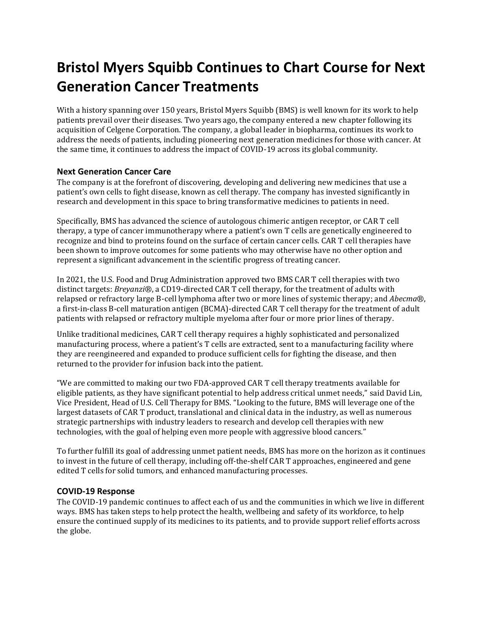# **Bristol Myers Squibb Continues to Chart Course for Next Generation Cancer Treatments**

With a history spanning over 150 years, Bristol Myers Squibb (BMS) is well known for its work to help patients prevail over their diseases. Two years ago, the company entered a new chapter following its acquisition of Celgene Corporation. The company, a global leader in biopharma, continues its work to address the needs of patients, including pioneering next generation medicines for those with cancer. At the same time, it continues to address the impact of COVID-19 across its global community.

## **Next Generation Cancer Care**

The company is at the forefront of discovering, developing and delivering new medicines that use a patient's own cells to fight disease, known as cell therapy. The company has invested significantly in research and development in this space to bring transformative medicines to patients in need.

Specifically, BMS has advanced the science of autologous chimeric antigen receptor, or CAR T cell therapy, a type of cancer immunotherapy where a patient's own T cells are genetically engineered to recognize and bind to proteins found on the surface of certain cancer cells. CAR T cell therapies have been shown to improve outcomes for some patients who may otherwise have no other option and represent a significant advancement in the scientific progress of treating cancer.

In 2021, the U.S. Food and Drug Administration approved two BMS CAR T cell therapies with two distinct targets: *Breyanzi*®, a CD19-directed CAR T cell therapy, for the treatment of adults with relapsed or refractory large B-cell lymphoma after two or more lines of systemic therapy; and *Abecma*®, a first-in-class B-cell maturation antigen (BCMA)-directed CAR T cell therapy for the treatment of adult patients with relapsed or refractory multiple myeloma after four or more prior lines of therapy.

Unlike traditional medicines, CAR T cell therapy requires a highly sophisticated and personalized manufacturing process, where a patient's T cells are extracted, sent to a manufacturing facility where they are reengineered and expanded to produce sufficient cells for fighting the disease, and then returned to the provider for infusion back into the patient.

"We are committed to making our two FDA-approved CAR T cell therapy treatments available for eligible patients, as they have significant potential to help address critical unmet needs," said David Lin, Vice President, Head of U.S. Cell Therapy for BMS. "Looking to the future, BMS will leverage one of the largest datasets of CAR T product, translational and clinical data in the industry, as well as numerous strategic partnerships with industry leaders to research and develop cell therapies with new technologies, with the goal of helping even more people with aggressive blood cancers."

To further fulfill its goal of addressing unmet patient needs, BMS has more on the horizon as it continues to invest in the future of cell therapy, including off-the-shelf CAR T approaches, engineered and gene edited T cells for solid tumors, and enhanced manufacturing processes.

## **COVID-19 Response**

The COVID-19 pandemic continues to affect each of us and the communities in which we live in different ways. BMS has taken steps to help protect the health, wellbeing and safety of its workforce, to help ensure the continued supply of its medicines to its patients, and to provide support relief efforts across the globe.